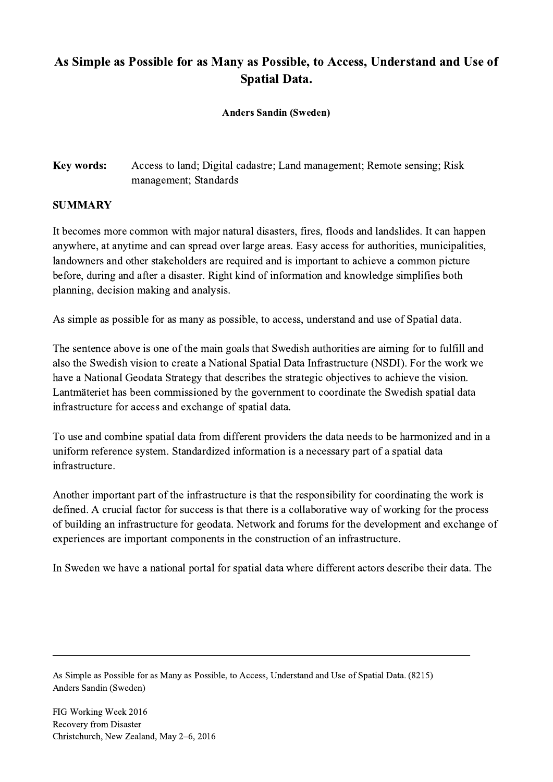## As Simple as Possible for as Many as Possible, to Access, Understand and Use of Spatial Data.

Anders Sandin (Sweden)

## Key words: Access to land; Digital cadastre; Land management; Remote sensing; Risk management; Standards

## SUMMARY

It becomes more common with major natural disasters, fires, floods and landslides. It can happen anywhere, at anytime and can spread over large areas. Easy access for authorities, municipalities, landowners and other stakeholders are required and is important to achieve a common picture before, during and after a disaster. Right kind of information and knowledge simplifies both planning, decision making and analysis.

As simple as possible for as many as possible, to access, understand and use of Spatial data.

The sentence above is one of the main goals that Swedish authorities are aiming for to fulfill and also the Swedish vision to create a National Spatial Data Infrastructure (NSDI). For the work we have a National Geodata Strategy that describes the strategic objectives to achieve the vision. Lantmäteriet has been commissioned by the government to coordinate the Swedish spatial data infrastructure for access and exchange of spatial data.

To use and combine spatial data from different providers the data needs to be harmonized and in a uniform reference system. Standardized information is a necessary part of a spatial data infrastructure.

Another important part of the infrastructure is that the responsibility for coordinating the work is defined. A crucial factor for success is that there is a collaborative way of working for the process of building an infrastructure for geodata. Network and forums for the development and exchange of experiences are important components in the construction of an infrastructure.

In Sweden we have a national portal for spatial data where different actors describe their data. The

 $\mathcal{L}_\mathcal{L} = \{ \mathcal{L}_\mathcal{L} = \{ \mathcal{L}_\mathcal{L} = \{ \mathcal{L}_\mathcal{L} = \{ \mathcal{L}_\mathcal{L} = \{ \mathcal{L}_\mathcal{L} = \{ \mathcal{L}_\mathcal{L} = \{ \mathcal{L}_\mathcal{L} = \{ \mathcal{L}_\mathcal{L} = \{ \mathcal{L}_\mathcal{L} = \{ \mathcal{L}_\mathcal{L} = \{ \mathcal{L}_\mathcal{L} = \{ \mathcal{L}_\mathcal{L} = \{ \mathcal{L}_\mathcal{L} = \{ \mathcal{L}_\mathcal{$ 

As Simple as Possible for as Many as Possible, to Access, Understand and Use of Spatial Data. (8215) Anders Sandin (Sweden)